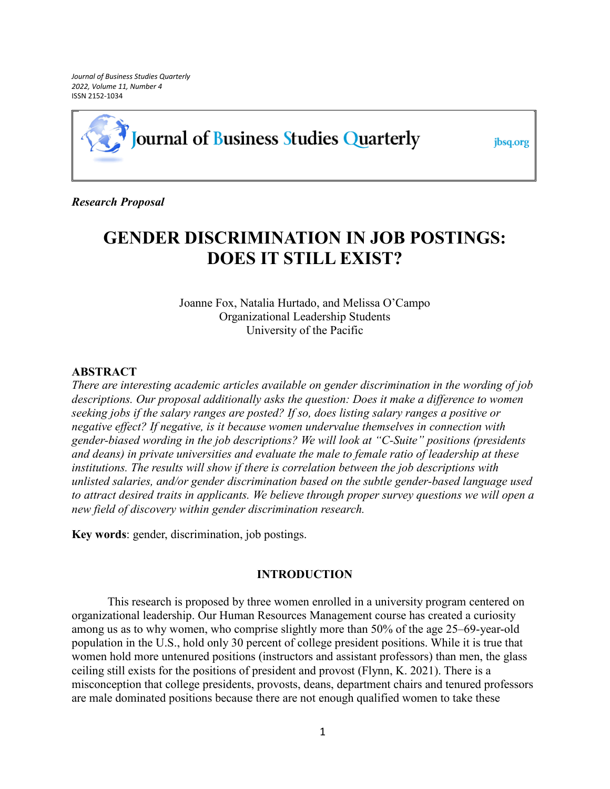*Journal of Business Studies Quarterly 2022, Volume 11, Number 4*  ISSN 2152-1034

# Journal of Business Studies Quarterly

jbsq.org

*Research Proposal*

# **GENDER DISCRIMINATION IN JOB POSTINGS: DOES IT STILL EXIST?**

Joanne Fox, Natalia Hurtado, and Melissa O'Campo Organizational Leadership Students University of the Pacific

### **ABSTRACT**

*There are interesting academic articles available on gender discrimination in the wording of job descriptions. Our proposal additionally asks the question: Does it make a difference to women seeking jobs if the salary ranges are posted? If so, does listing salary ranges a positive or negative effect? If negative, is it because women undervalue themselves in connection with gender-biased wording in the job descriptions? We will look at "C-Suite" positions (presidents and deans) in private universities and evaluate the male to female ratio of leadership at these institutions. The results will show if there is correlation between the job descriptions with unlisted salaries, and/or gender discrimination based on the subtle gender-based language used to attract desired traits in applicants. We believe through proper survey questions we will open a new field of discovery within gender discrimination research.*

**Key words**: gender, discrimination, job postings.

# **INTRODUCTION**

This research is proposed by three women enrolled in a university program centered on organizational leadership. Our Human Resources Management course has created a curiosity among us as to why women, who comprise slightly more than 50% of the age 25–69-year-old population in the U.S., hold only 30 percent of college president positions. While it is true that women hold more untenured positions (instructors and assistant professors) than men, the glass ceiling still exists for the positions of president and provost (Flynn, K. 2021). There is a misconception that college presidents, provosts, deans, department chairs and tenured professors are male dominated positions because there are not enough qualified women to take these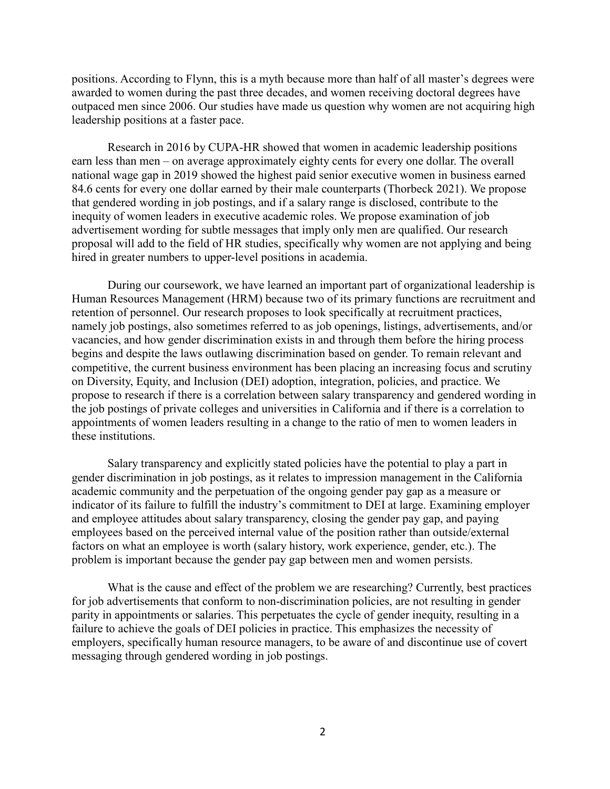positions. According to Flynn, this is a myth because more than half of all master's degrees were awarded to women during the past three decades, and women receiving doctoral degrees have outpaced men since 2006. Our studies have made us question why women are not acquiring high leadership positions at a faster pace.

Research in 2016 by CUPA-HR showed that women in academic leadership positions earn less than men – on average approximately eighty cents for every one dollar. The overall national wage gap in 2019 showed the highest paid senior executive women in business earned 84.6 cents for every one dollar earned by their male counterparts (Thorbeck 2021). We propose that gendered wording in job postings, and if a salary range is disclosed, contribute to the inequity of women leaders in executive academic roles. We propose examination of job advertisement wording for subtle messages that imply only men are qualified. Our research proposal will add to the field of HR studies, specifically why women are not applying and being hired in greater numbers to upper-level positions in academia.

During our coursework, we have learned an important part of organizational leadership is Human Resources Management (HRM) because two of its primary functions are recruitment and retention of personnel. Our research proposes to look specifically at recruitment practices, namely job postings, also sometimes referred to as job openings, listings, advertisements, and/or vacancies, and how gender discrimination exists in and through them before the hiring process begins and despite the laws outlawing discrimination based on gender. To remain relevant and competitive, the current business environment has been placing an increasing focus and scrutiny on Diversity, Equity, and Inclusion (DEI) adoption, integration, policies, and practice. We propose to research if there is a correlation between salary transparency and gendered wording in the job postings of private colleges and universities in California and if there is a correlation to appointments of women leaders resulting in a change to the ratio of men to women leaders in these institutions.

Salary transparency and explicitly stated policies have the potential to play a part in gender discrimination in job postings, as it relates to impression management in the California academic community and the perpetuation of the ongoing gender pay gap as a measure or indicator of its failure to fulfill the industry's commitment to DEI at large. Examining employer and employee attitudes about salary transparency, closing the gender pay gap, and paying employees based on the perceived internal value of the position rather than outside/external factors on what an employee is worth (salary history, work experience, gender, etc.). The problem is important because the gender pay gap between men and women persists.

What is the cause and effect of the problem we are researching? Currently, best practices for job advertisements that conform to non-discrimination policies, are not resulting in gender parity in appointments or salaries. This perpetuates the cycle of gender inequity, resulting in a failure to achieve the goals of DEI policies in practice. This emphasizes the necessity of employers, specifically human resource managers, to be aware of and discontinue use of covert messaging through gendered wording in job postings.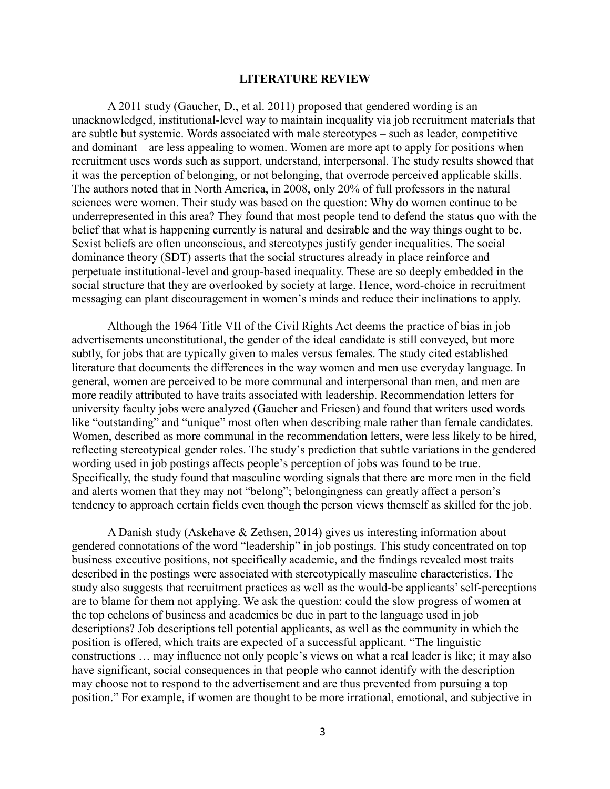#### **LITERATURE REVIEW**

A 2011 study (Gaucher, D., et al. 2011) proposed that gendered wording is an unacknowledged, institutional-level way to maintain inequality via job recruitment materials that are subtle but systemic. Words associated with male stereotypes – such as leader, competitive and dominant – are less appealing to women. Women are more apt to apply for positions when recruitment uses words such as support, understand, interpersonal. The study results showed that it was the perception of belonging, or not belonging, that overrode perceived applicable skills. The authors noted that in North America, in 2008, only 20% of full professors in the natural sciences were women. Their study was based on the question: Why do women continue to be underrepresented in this area? They found that most people tend to defend the status quo with the belief that what is happening currently is natural and desirable and the way things ought to be. Sexist beliefs are often unconscious, and stereotypes justify gender inequalities. The social dominance theory (SDT) asserts that the social structures already in place reinforce and perpetuate institutional-level and group-based inequality. These are so deeply embedded in the social structure that they are overlooked by society at large. Hence, word-choice in recruitment messaging can plant discouragement in women's minds and reduce their inclinations to apply.

Although the 1964 Title VII of the Civil Rights Act deems the practice of bias in job advertisements unconstitutional, the gender of the ideal candidate is still conveyed, but more subtly, for jobs that are typically given to males versus females. The study cited established literature that documents the differences in the way women and men use everyday language. In general, women are perceived to be more communal and interpersonal than men, and men are more readily attributed to have traits associated with leadership. Recommendation letters for university faculty jobs were analyzed (Gaucher and Friesen) and found that writers used words like "outstanding" and "unique" most often when describing male rather than female candidates. Women, described as more communal in the recommendation letters, were less likely to be hired, reflecting stereotypical gender roles. The study's prediction that subtle variations in the gendered wording used in job postings affects people's perception of jobs was found to be true. Specifically, the study found that masculine wording signals that there are more men in the field and alerts women that they may not "belong"; belongingness can greatly affect a person's tendency to approach certain fields even though the person views themself as skilled for the job.

A Danish study (Askehave & Zethsen, 2014) gives us interesting information about gendered connotations of the word "leadership" in job postings. This study concentrated on top business executive positions, not specifically academic, and the findings revealed most traits described in the postings were associated with stereotypically masculine characteristics. The study also suggests that recruitment practices as well as the would-be applicants' self-perceptions are to blame for them not applying. We ask the question: could the slow progress of women at the top echelons of business and academics be due in part to the language used in job descriptions? Job descriptions tell potential applicants, as well as the community in which the position is offered, which traits are expected of a successful applicant. "The linguistic constructions … may influence not only people's views on what a real leader is like; it may also have significant, social consequences in that people who cannot identify with the description may choose not to respond to the advertisement and are thus prevented from pursuing a top position." For example, if women are thought to be more irrational, emotional, and subjective in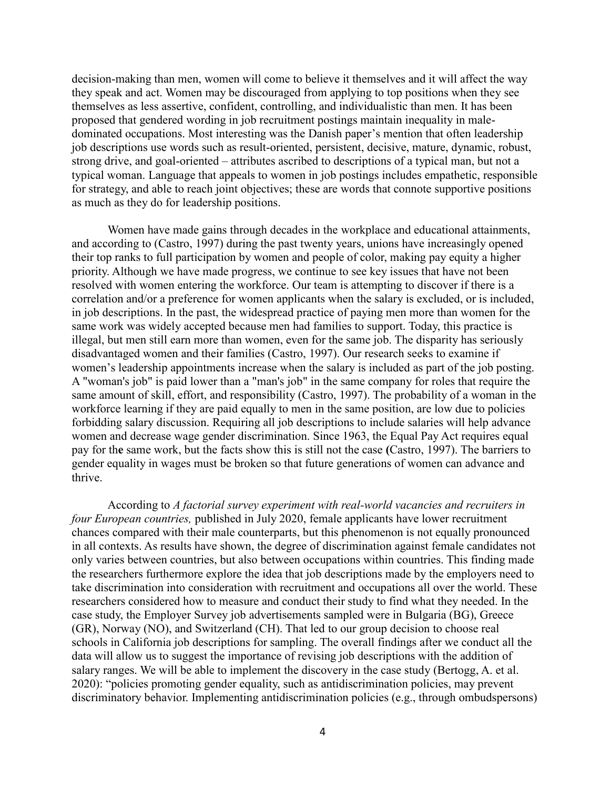decision-making than men, women will come to believe it themselves and it will affect the way they speak and act. Women may be discouraged from applying to top positions when they see themselves as less assertive, confident, controlling, and individualistic than men. It has been proposed that gendered wording in job recruitment postings maintain inequality in maledominated occupations. Most interesting was the Danish paper's mention that often leadership job descriptions use words such as result-oriented, persistent, decisive, mature, dynamic, robust, strong drive, and goal-oriented – attributes ascribed to descriptions of a typical man, but not a typical woman. Language that appeals to women in job postings includes empathetic, responsible for strategy, and able to reach joint objectives; these are words that connote supportive positions as much as they do for leadership positions.

Women have made gains through decades in the workplace and educational attainments, and according to (Castro, 1997) during the past twenty years, unions have increasingly opened their top ranks to full participation by women and people of color, making pay equity a higher priority. Although we have made progress, we continue to see key issues that have not been resolved with women entering the workforce. Our team is attempting to discover if there is a correlation and/or a preference for women applicants when the salary is excluded, or is included, in job descriptions. In the past, the widespread practice of paying men more than women for the same work was widely accepted because men had families to support. Today, this practice is illegal, but men still earn more than women, even for the same job. The disparity has seriously disadvantaged women and their families (Castro, 1997). Our research seeks to examine if women's leadership appointments increase when the salary is included as part of the job posting. A "woman's job" is paid lower than a "man's job" in the same company for roles that require the same amount of skill, effort, and responsibility (Castro, 1997). The probability of a woman in the workforce learning if they are paid equally to men in the same position, are low due to policies forbidding salary discussion. Requiring all job descriptions to include salaries will help advance women and decrease wage gender discrimination. Since 1963, the Equal Pay Act requires equal pay for th**e** same work, but the facts show this is still not the case **(**Castro, 1997). The barriers to gender equality in wages must be broken so that future generations of women can advance and thrive.

According to *A factorial survey experiment with real-world vacancies and recruiters in four European countries,* published in July 2020, female applicants have lower recruitment chances compared with their male counterparts, but this phenomenon is not equally pronounced in all contexts. As results have shown, the degree of discrimination against female candidates not only varies between countries, but also between occupations within countries. This finding made the researchers furthermore explore the idea that job descriptions made by the employers need to take discrimination into consideration with recruitment and occupations all over the world. These researchers considered how to measure and conduct their study to find what they needed. In the case study, the Employer Survey job advertisements sampled were in Bulgaria (BG), Greece (GR), Norway (NO), and Switzerland (CH). That led to our group decision to choose real schools in California job descriptions for sampling. The overall findings after we conduct all the data will allow us to suggest the importance of revising job descriptions with the addition of salary ranges. We will be able to implement the discovery in the case study (Bertogg, A. et al. 2020): "policies promoting gender equality, such as antidiscrimination policies, may prevent discriminatory behavior. Implementing antidiscrimination policies (e.g., through ombudspersons)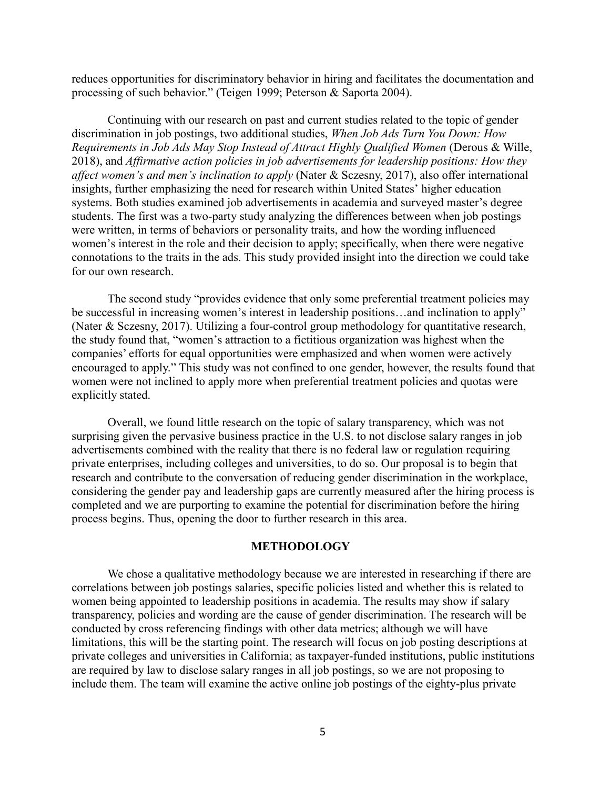reduces opportunities for discriminatory behavior in hiring and facilitates the documentation and processing of such behavior." (Teigen 1999; Peterson & Saporta 2004).

Continuing with our research on past and current studies related to the topic of gender discrimination in job postings, two additional studies, *When Job Ads Turn You Down: How Requirements in Job Ads May Stop Instead of Attract Highly Qualified Women* (Derous & Wille, 2018), and *Affirmative action policies in job advertisements for leadership positions: How they affect women's and men's inclination to apply* (Nater & Sczesny, 2017), also offer international insights, further emphasizing the need for research within United States' higher education systems. Both studies examined job advertisements in academia and surveyed master's degree students. The first was a two-party study analyzing the differences between when job postings were written, in terms of behaviors or personality traits, and how the wording influenced women's interest in the role and their decision to apply; specifically, when there were negative connotations to the traits in the ads. This study provided insight into the direction we could take for our own research.

The second study "provides evidence that only some preferential treatment policies may be successful in increasing women's interest in leadership positions...and inclination to apply" (Nater & Sczesny, 2017). Utilizing a four-control group methodology for quantitative research, the study found that, "women's attraction to a fictitious organization was highest when the companies' efforts for equal opportunities were emphasized and when women were actively encouraged to apply." This study was not confined to one gender, however, the results found that women were not inclined to apply more when preferential treatment policies and quotas were explicitly stated.

Overall, we found little research on the topic of salary transparency, which was not surprising given the pervasive business practice in the U.S. to not disclose salary ranges in job advertisements combined with the reality that there is no federal law or regulation requiring private enterprises, including colleges and universities, to do so. Our proposal is to begin that research and contribute to the conversation of reducing gender discrimination in the workplace, considering the gender pay and leadership gaps are currently measured after the hiring process is completed and we are purporting to examine the potential for discrimination before the hiring process begins. Thus, opening the door to further research in this area.

#### **METHODOLOGY**

We chose a qualitative methodology because we are interested in researching if there are correlations between job postings salaries, specific policies listed and whether this is related to women being appointed to leadership positions in academia. The results may show if salary transparency, policies and wording are the cause of gender discrimination. The research will be conducted by cross referencing findings with other data metrics; although we will have limitations, this will be the starting point. The research will focus on job posting descriptions at private colleges and universities in California; as taxpayer-funded institutions, public institutions are required by law to disclose salary ranges in all job postings, so we are not proposing to include them. The team will examine the active online job postings of the eighty-plus private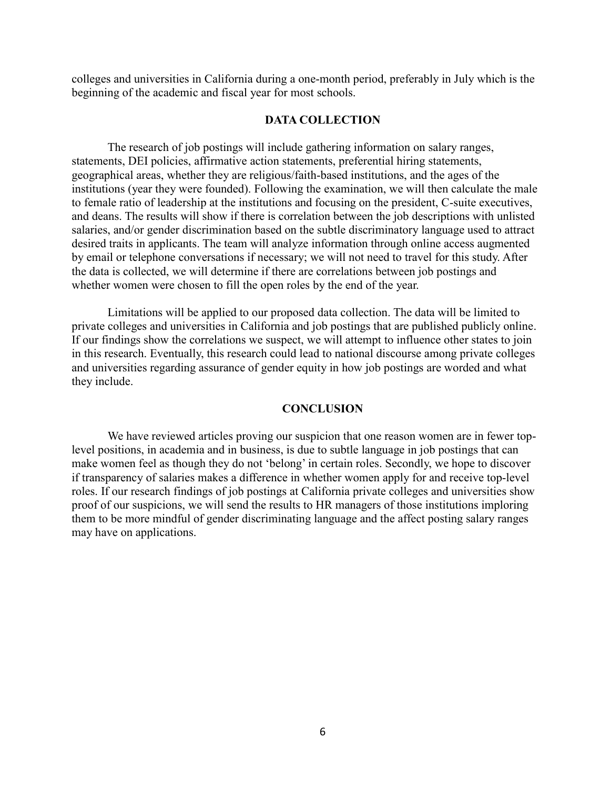colleges and universities in California during a one-month period, preferably in July which is the beginning of the academic and fiscal year for most schools.

## **DATA COLLECTION**

The research of job postings will include gathering information on salary ranges, statements, DEI policies, affirmative action statements, preferential hiring statements, geographical areas, whether they are religious/faith-based institutions, and the ages of the institutions (year they were founded). Following the examination, we will then calculate the male to female ratio of leadership at the institutions and focusing on the president, C-suite executives, and deans. The results will show if there is correlation between the job descriptions with unlisted salaries, and/or gender discrimination based on the subtle discriminatory language used to attract desired traits in applicants. The team will analyze information through online access augmented by email or telephone conversations if necessary; we will not need to travel for this study. After the data is collected, we will determine if there are correlations between job postings and whether women were chosen to fill the open roles by the end of the year.

Limitations will be applied to our proposed data collection. The data will be limited to private colleges and universities in California and job postings that are published publicly online. If our findings show the correlations we suspect, we will attempt to influence other states to join in this research. Eventually, this research could lead to national discourse among private colleges and universities regarding assurance of gender equity in how job postings are worded and what they include.

#### **CONCLUSION**

We have reviewed articles proving our suspicion that one reason women are in fewer toplevel positions, in academia and in business, is due to subtle language in job postings that can make women feel as though they do not 'belong' in certain roles. Secondly, we hope to discover if transparency of salaries makes a difference in whether women apply for and receive top-level roles. If our research findings of job postings at California private colleges and universities show proof of our suspicions, we will send the results to HR managers of those institutions imploring them to be more mindful of gender discriminating language and the affect posting salary ranges may have on applications.